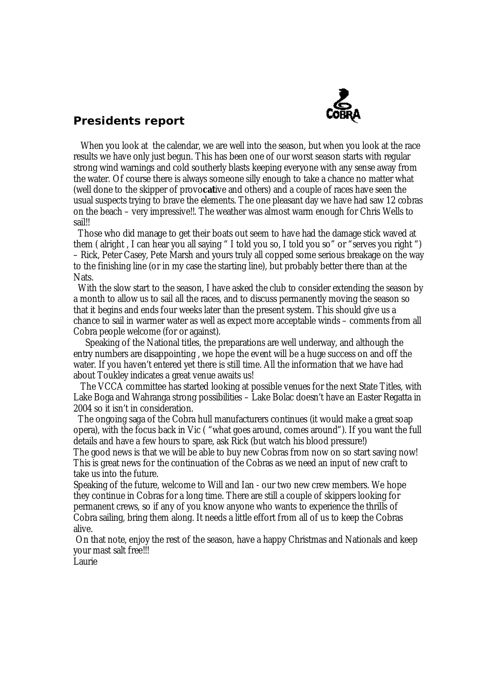

## **Presidents report**

When you look at the calendar, we are well into the season, but when you look at the race results we have only just begun. This has been one of our worst season starts with regular strong wind warnings and cold southerly blasts keeping everyone with any sense away from the water. Of course there is always someone silly enough to take a chance no matter what (well done to the skipper of provo**cat**ive and others) and a couple of races have seen the usual suspects trying to brave the elements. The one pleasant day we have had saw 12 cobras on the beach – very impressive!!. The weather was almost warm enough for Chris Wells to sail!!

Those who did manage to get their boats out seem to have had the damage stick waved at them ( alright , I can hear you all saying " I told you so, I told you so" or "serves you right ") – Rick, Peter Casey, Pete Marsh and yours truly all copped some serious breakage on the way to the finishing line (or in my case the starting line), but probably better there than at the Nats.

With the slow start to the season, I have asked the club to consider extending the season by a month to allow us to sail all the races, and to discuss permanently moving the season so that it begins and ends four weeks later than the present system. This should give us a chance to sail in warmer water as well as expect more acceptable winds – comments from all Cobra people welcome (for or against).

Speaking of the National titles, the preparations are well underway, and although the entry numbers are disappointing , we hope the event will be a huge success on and off the water. If you haven't entered yet there is still time. All the information that we have had about Toukley indicates a great venue awaits us!

The VCCA committee has started looking at possible venues for the next State Titles, with Lake Boga and Wahranga strong possibilities – Lake Bolac doesn't have an Easter Regatta in 2004 so it isn't in consideration.

The ongoing saga of the Cobra hull manufacturers continues (it would make a great soap opera), with the focus back in Vic ( "what goes around, comes around"). If you want the full details and have a few hours to spare, ask Rick (but watch his blood pressure!)

The good news is that we will be able to buy new Cobras from now on so start saving now! This is great news for the continuation of the Cobras as we need an input of new craft to take us into the future.

Speaking of the future, welcome to Will and Ian - our two new crew members. We hope they continue in Cobras for a long time. There are still a couple of skippers looking for permanent crews, so if any of you know anyone who wants to experience the thrills of Cobra sailing, bring them along. It needs a little effort from all of us to keep the Cobras alive.

 On that note, enjoy the rest of the season, have a happy Christmas and Nationals and keep your mast salt free!!!

Laurie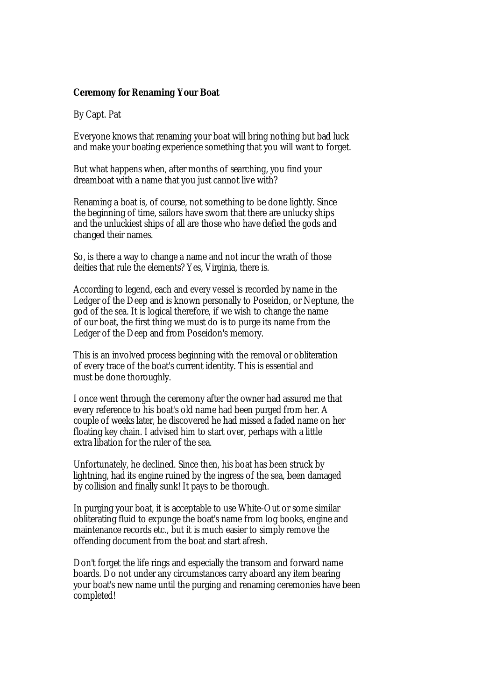## **Ceremony for Renaming Your Boat**

By Capt. Pat

Everyone knows that renaming your boat will bring nothing but bad luck and make your boating experience something that you will want to forget.

But what happens when, after months of searching, you find your dreamboat with a name that you just cannot live with?

Renaming a boat is, of course, not something to be done lightly. Since the beginning of time, sailors have sworn that there are unlucky ships and the unluckiest ships of all are those who have defied the gods and changed their names.

So, is there a way to change a name and not incur the wrath of those deities that rule the elements? Yes, Virginia, there is.

According to legend, each and every vessel is recorded by name in the Ledger of the Deep and is known personally to Poseidon, or Neptune, the god of the sea. It is logical therefore, if we wish to change the name of our boat, the first thing we must do is to purge its name from the Ledger of the Deep and from Poseidon's memory.

This is an involved process beginning with the removal or obliteration of every trace of the boat's current identity. This is essential and must be done thoroughly.

I once went through the ceremony after the owner had assured me that every reference to his boat's old name had been purged from her. A couple of weeks later, he discovered he had missed a faded name on her floating key chain. I advised him to start over, perhaps with a little extra libation for the ruler of the sea.

Unfortunately, he declined. Since then, his boat has been struck by lightning, had its engine ruined by the ingress of the sea, been damaged by collision and finally sunk! It pays to be thorough.

In purging your boat, it is acceptable to use White-Out or some similar obliterating fluid to expunge the boat's name from log books, engine and maintenance records etc., but it is much easier to simply remove the offending document from the boat and start afresh.

Don't forget the life rings and especially the transom and forward name boards. Do not under any circumstances carry aboard any item bearing your boat's new name until the purging and renaming ceremonies have been completed!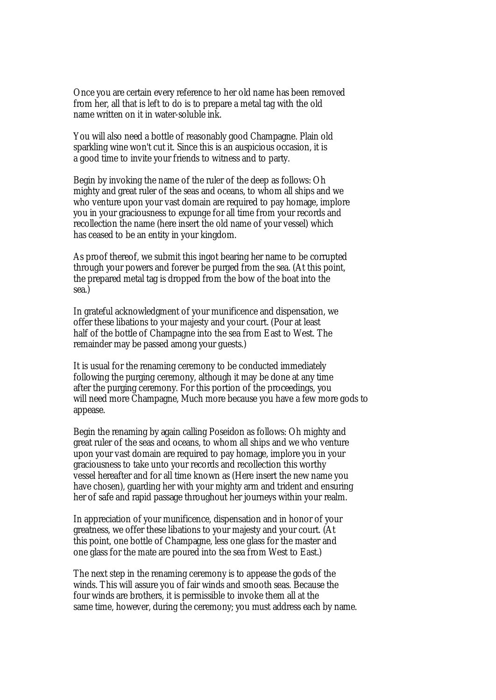Once you are certain every reference to her old name has been removed from her, all that is left to do is to prepare a metal tag with the old name written on it in water-soluble ink.

You will also need a bottle of reasonably good Champagne. Plain old sparkling wine won't cut it. Since this is an auspicious occasion, it is a good time to invite your friends to witness and to party.

Begin by invoking the name of the ruler of the deep as follows: Oh mighty and great ruler of the seas and oceans, to whom all ships and we who venture upon your vast domain are required to pay homage, implore you in your graciousness to expunge for all time from your records and recollection the name (here insert the old name of your vessel) which has ceased to be an entity in your kingdom.

As proof thereof, we submit this ingot bearing her name to be corrupted through your powers and forever be purged from the sea. (At this point, the prepared metal tag is dropped from the bow of the boat into the sea.)

In grateful acknowledgment of your munificence and dispensation, we offer these libations to your majesty and your court. (Pour at least half of the bottle of Champagne into the sea from East to West. The remainder may be passed among your guests.)

It is usual for the renaming ceremony to be conducted immediately following the purging ceremony, although it may be done at any time after the purging ceremony. For this portion of the proceedings, you will need more Champagne, Much more because you have a few more gods to appease.

Begin the renaming by again calling Poseidon as follows: Oh mighty and great ruler of the seas and oceans, to whom all ships and we who venture upon your vast domain are required to pay homage, implore you in your graciousness to take unto your records and recollection this worthy vessel hereafter and for all time known as (Here insert the new name you have chosen), guarding her with your mighty arm and trident and ensuring her of safe and rapid passage throughout her journeys within your realm.

In appreciation of your munificence, dispensation and in honor of your greatness, we offer these libations to your majesty and your court. (At this point, one bottle of Champagne, less one glass for the master and one glass for the mate are poured into the sea from West to East.)

The next step in the renaming ceremony is to appease the gods of the winds. This will assure you of fair winds and smooth seas. Because the four winds are brothers, it is permissible to invoke them all at the same time, however, during the ceremony; you must address each by name.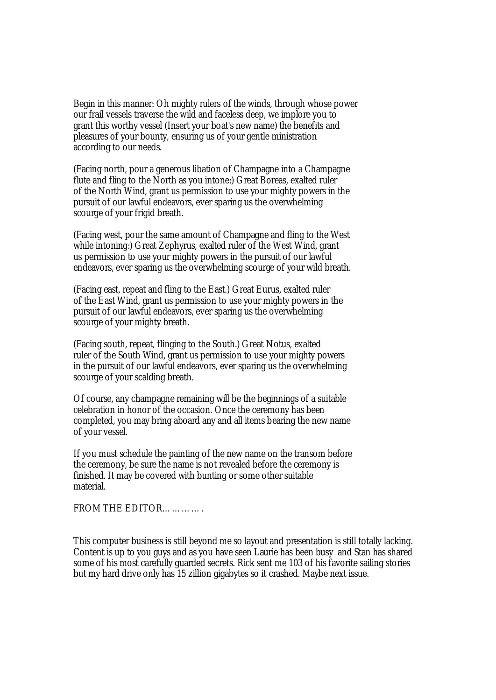Begin in this manner: Oh mighty rulers of the winds, through whose power our frail vessels traverse the wild and faceless deep, we implore you to grant this worthy vessel (Insert your boat's new name) the benefits and pleasures of your bounty, ensuring us of your gentle ministration according to our needs.

(Facing north, pour a generous libation of Champagne into a Champagne flute and fling to the North as you intone:) Great Boreas, exalted ruler of the North Wind, grant us permission to use your mighty powers in the pursuit of our lawful endeavors, ever sparing us the overwhelming scourge of your frigid breath.

(Facing west, pour the same amount of Champagne and fling to the West while intoning:) Great Zephyrus, exalted ruler of the West Wind, grant us permission to use your mighty powers in the pursuit of our lawful endeavors, ever sparing us the overwhelming scourge of your wild breath.

(Facing east, repeat and fling to the East.) Great Eurus, exalted ruler of the East Wind, grant us permission to use your mighty powers in the pursuit of our lawful endeavors, ever sparing us the overwhelming scourge of your mighty breath.

(Facing south, repeat, flinging to the South.) Great Notus, exalted ruler of the South Wind, grant us permission to use your mighty powers in the pursuit of our lawful endeavors, ever sparing us the overwhelming scourge of your scalding breath.

Of course, any champagne remaining will be the beginnings of a suitable celebration in honor of the occasion. Once the ceremony has been completed, you may bring aboard any and all items bearing the new name of your vessel.

If you must schedule the painting of the new name on the transom before the ceremony, be sure the name is not revealed before the ceremony is finished. It may be covered with bunting or some other suitable material.

FROM THE EDITOR………….

This computer business is still beyond me so layout and presentation is still totally lacking. Content is up to you guys and as you have seen Laurie has been busy and Stan has shared some of his most carefully guarded secrets. Rick sent me 103 of his favorite sailing stories but my hard drive only has 15 zillion gigabytes so it crashed. Maybe next issue.